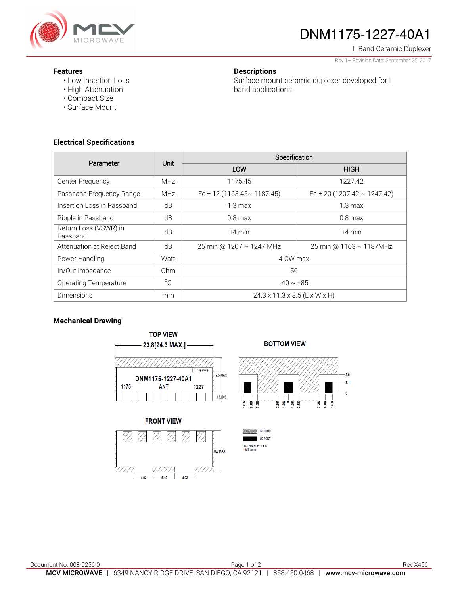

# DNM1175-1227-40A1

L Band Ceramic Duplexer

#### Rev 1– Revision Date: September 25, 2017

#### **Features**

• Low Insertion Loss

**Descriptions** 

Surface mount ceramic duplexer developed for L band applications.

- High Attenuation
- Compact Size
- Surface Mount

## **Electrical Specifications**

| Parameter                         | Unit            | Specification                             |                                  |
|-----------------------------------|-----------------|-------------------------------------------|----------------------------------|
|                                   |                 | LOW                                       | <b>HIGH</b>                      |
| Center Frequency                  | <b>MHz</b>      | 1175.45                                   | 1227.42                          |
| Passband Frequency Range          | <b>MHz</b>      | Fc ± 12 (1163.45 $\sim$ 1187.45)          | Fc ± 20 (1207.42 $\sim$ 1247.42) |
| Insertion Loss in Passband        | dB              | $1.3 \text{ max}$                         | 1.3 <sub>max</sub>               |
| Ripple in Passband                | dB              | $0.8$ max                                 | $0.8$ max                        |
| Return Loss (VSWR) in<br>Passband | dB              | 14 min                                    | $14 \text{ min}$                 |
| Attenuation at Reject Band        | dB              | 25 min @ 1207 ~ 1247 MHz                  | 25 min @ 1163 ~ 1187MHz          |
| Power Handling                    | Watt            | 4 CW max                                  |                                  |
| In/Out Impedance                  | 0 <sub>hm</sub> | 50                                        |                                  |
| <b>Operating Temperature</b>      | $^{\circ}C$     | $-40 \sim +85$                            |                                  |
| Dimensions                        | mm              | $24.3 \times 11.3 \times 8.5$ (L x W x H) |                                  |

## **Mechanical Drawing**



# **FRONT VIEW**